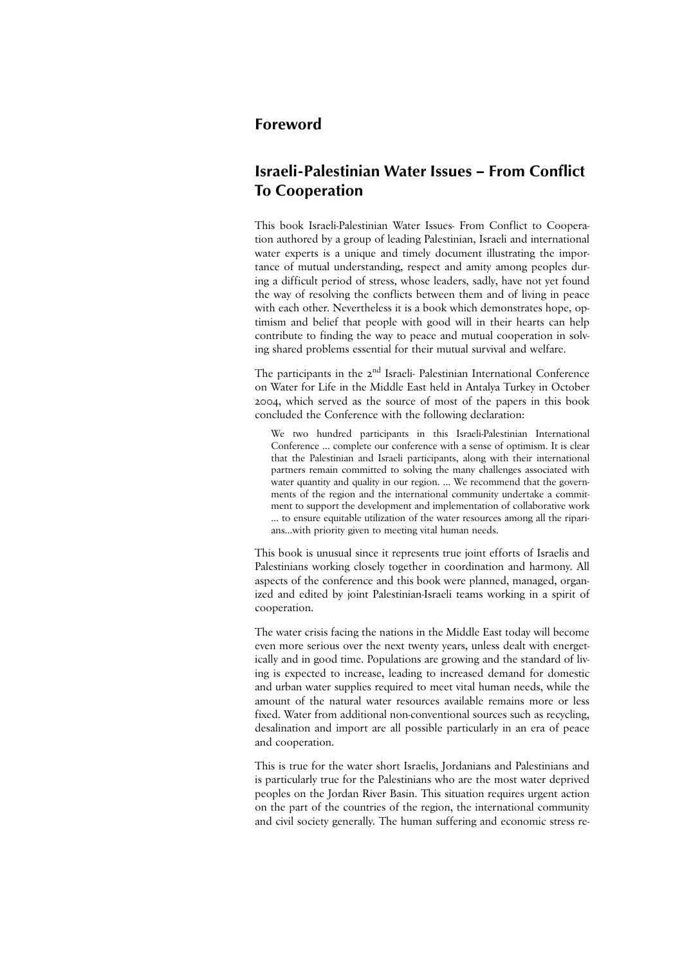## **Foreword**

## **Israeli-Palestinian Water Issues – From Conflict To Cooperation**

This book Israeli-Palestinian Water Issues- From Conflict to Cooperation authored by a group of leading Palestinian, Israeli and international water experts is a unique and timely document illustrating the importance of mutual understanding, respect and amity among peoples during a difficult period of stress, whose leaders, sadly, have not yet found the way of resolving the conflicts between them and of living in peace with each other. Nevertheless it is a book which demonstrates hope, optimism and belief that people with good will in their hearts can help contribute to finding the way to peace and mutual cooperation in solving shared problems essential for their mutual survival and welfare.

The participants in the 2<sup>nd</sup> Israeli- Palestinian International Conference on Water for Life in the Middle East held in Antalya Turkey in October 2004, which served as the source of most of the papers in this book concluded the Conference with the following declaration:

We two hundred participants in this Israeli-Palestinian International Conference … complete our conference with a sense of optimism. It is clear that the Palestinian and Israeli participants, along with their international partners remain committed to solving the many challenges associated with water quantity and quality in our region. … We recommend that the governments of the region and the international community undertake a commitment to support the development and implementation of collaborative work … to ensure equitable utilization of the water resources among all the riparians…with priority given to meeting vital human needs.

This book is unusual since it represents true joint efforts of Israelis and Palestinians working closely together in coordination and harmony. All aspects of the conference and this book were planned, managed, organized and edited by joint Palestinian-Israeli teams working in a spirit of cooperation.

The water crisis facing the nations in the Middle East today will become even more serious over the next twenty years, unless dealt with energetically and in good time. Populations are growing and the standard of living is expected to increase, leading to increased demand for domestic and urban water supplies required to meet vital human needs, while the amount of the natural water resources available remains more or less fixed. Water from additional non-conventional sources such as recycling, desalination and import are all possible particularly in an era of peace and cooperation.

This is true for the water short Israelis, Jordanians and Palestinians and is particularly true for the Palestinians who are the most water deprived peoples on the Jordan River Basin. This situation requires urgent action on the part of the countries of the region, the international community and civil society generally. The human suffering and economic stress re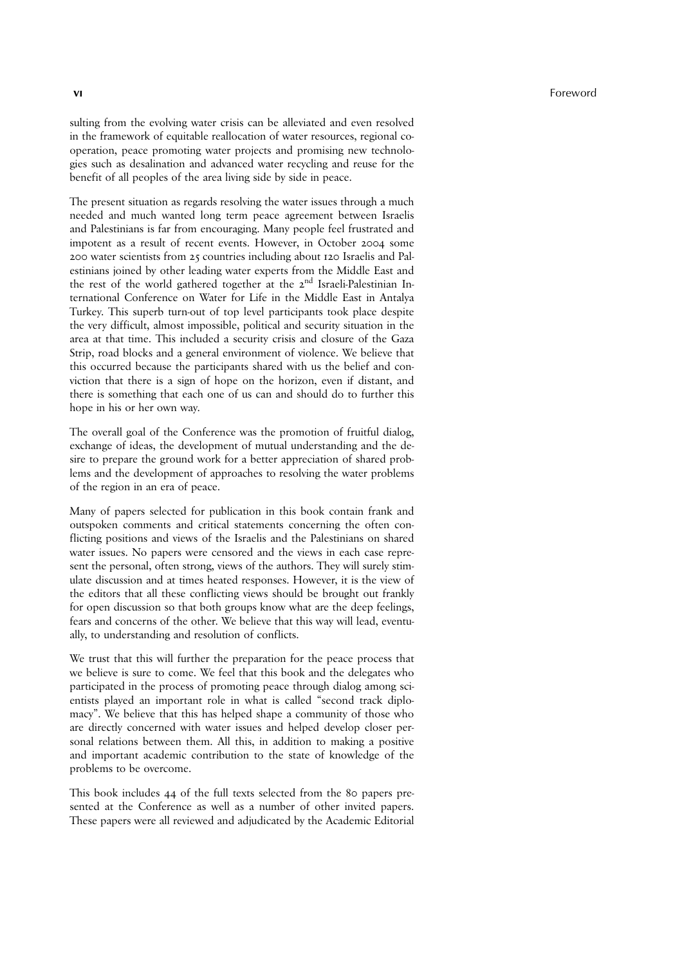sulting from the evolving water crisis can be alleviated and even resolved in the framework of equitable reallocation of water resources, regional cooperation, peace promoting water projects and promising new technologies such as desalination and advanced water recycling and reuse for the benefit of all peoples of the area living side by side in peace.

The present situation as regards resolving the water issues through a much needed and much wanted long term peace agreement between Israelis and Palestinians is far from encouraging. Many people feel frustrated and impotent as a result of recent events. However, in October 2004 some 200 water scientists from 25 countries including about 120 Israelis and Palestinians joined by other leading water experts from the Middle East and the rest of the world gathered together at the 2<sup>nd</sup> Israeli-Palestinian International Conference on Water for Life in the Middle East in Antalya Turkey. This superb turn-out of top level participants took place despite the very difficult, almost impossible, political and security situation in the area at that time. This included a security crisis and closure of the Gaza Strip, road blocks and a general environment of violence. We believe that this occurred because the participants shared with us the belief and conviction that there is a sign of hope on the horizon, even if distant, and there is something that each one of us can and should do to further this hope in his or her own way.

The overall goal of the Conference was the promotion of fruitful dialog, exchange of ideas, the development of mutual understanding and the desire to prepare the ground work for a better appreciation of shared problems and the development of approaches to resolving the water problems of the region in an era of peace.

Many of papers selected for publication in this book contain frank and outspoken comments and critical statements concerning the often conflicting positions and views of the Israelis and the Palestinians on shared water issues. No papers were censored and the views in each case represent the personal, often strong, views of the authors. They will surely stimulate discussion and at times heated responses. However, it is the view of the editors that all these conflicting views should be brought out frankly for open discussion so that both groups know what are the deep feelings, fears and concerns of the other. We believe that this way will lead, eventually, to understanding and resolution of conflicts.

We trust that this will further the preparation for the peace process that we believe is sure to come. We feel that this book and the delegates who participated in the process of promoting peace through dialog among scientists played an important role in what is called "second track diplomacy". We believe that this has helped shape a community of those who are directly concerned with water issues and helped develop closer personal relations between them. All this, in addition to making a positive and important academic contribution to the state of knowledge of the problems to be overcome.

This book includes 44 of the full texts selected from the 80 papers presented at the Conference as well as a number of other invited papers. These papers were all reviewed and adjudicated by the Academic Editorial